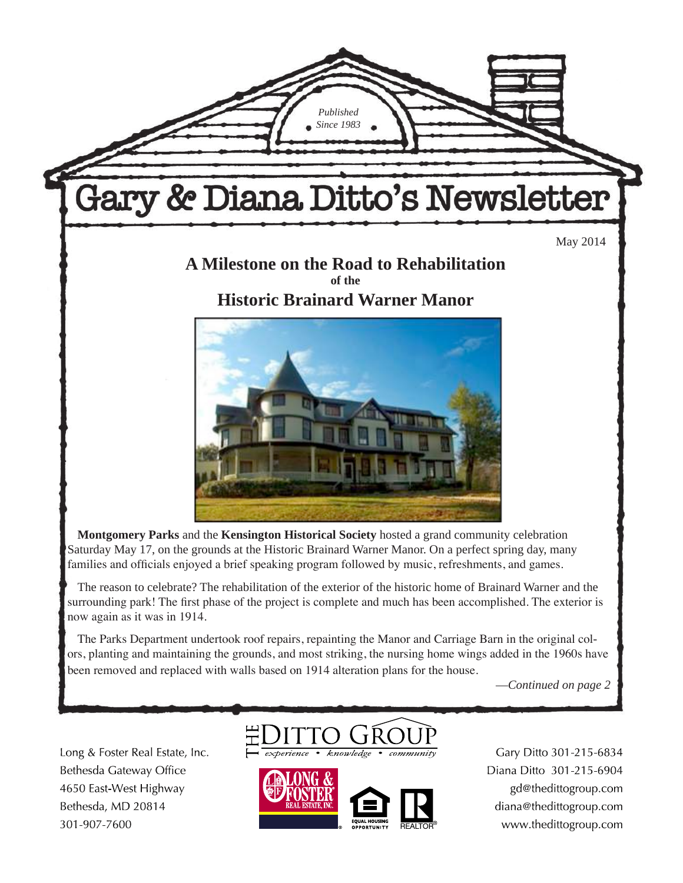

**Montgomery Parks** and the **Kensington Historical Society** hosted a grand community celebration Saturday May 17, on the grounds at the Historic Brainard Warner Manor. On a perfect spring day, many families and officials enjoyed a brief speaking program followed by music, refreshments, and games.

The reason to celebrate? The rehabilitation of the exterior of the historic home of Brainard Warner and the surrounding park! The first phase of the project is complete and much has been accomplished. The exterior is now again as it was in 1914.

The Parks Department undertook roof repairs, repainting the Manor and Carriage Barn in the original colors, planting and maintaining the grounds, and most striking, the nursing home wings added in the 1960s have been removed and replaced with walls based on 1914 alteration plans for the house.

—*Continued on page 2*

Long & Foster Real Estate, Inc. Bethesda Gateway Office 4650 East-West Highway Bethesda, MD 20814 301-907-7600





Gary Ditto 301-215-6834 Diana Ditto 301-215-6904 gd@thedittogroup.com diana@thedittogroup.com www.thedittogroup.com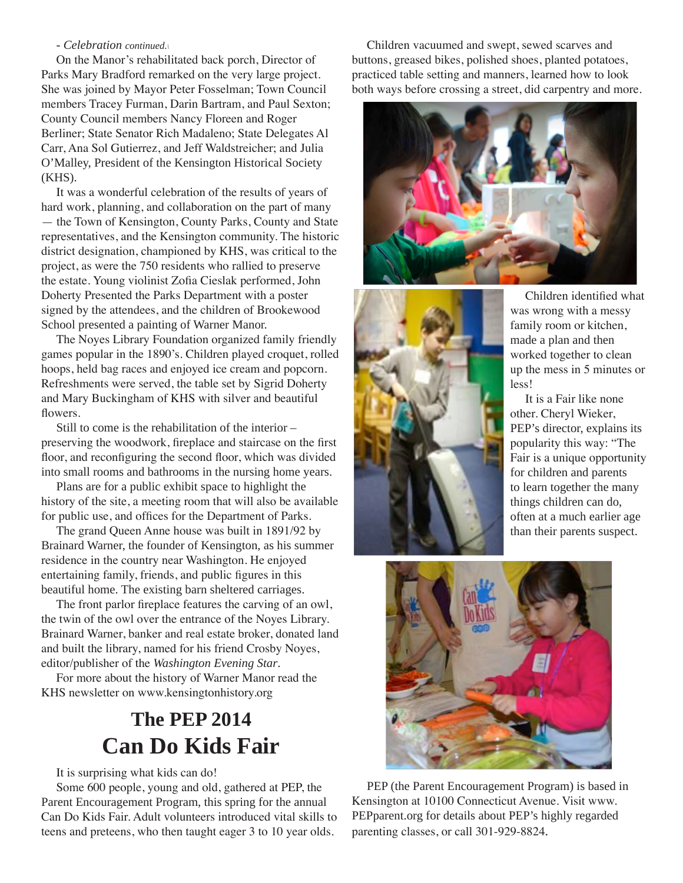#### - *Celebration continued.\*

On the Manor's rehabilitated back porch, Director of Parks Mary Bradford remarked on the very large project. She was joined by Mayor Peter Fosselman; Town Council members Tracey Furman, Darin Bartram, and Paul Sexton; County Council members Nancy Floreen and Roger Berliner; State Senator Rich Madaleno; State Delegates Al Carr, Ana Sol Gutierrez, and Jeff Waldstreicher; and Julia O'Malley, President of the Kensington Historical Society (KHS).

It was a wonderful celebration of the results of years of hard work, planning, and collaboration on the part of many — the Town of Kensington, County Parks, County and State representatives, and the Kensington community. The historic district designation, championed by KHS, was critical to the project, as were the 750 residents who rallied to preserve the estate. Young violinist Zofia Cieslak performed, John Doherty Presented the Parks Department with a poster signed by the attendees, and the children of Brookewood School presented a painting of Warner Manor.

The Noyes Library Foundation organized family friendly games popular in the 1890's. Children played croquet, rolled hoops, held bag races and enjoyed ice cream and popcorn. Refreshments were served, the table set by Sigrid Doherty and Mary Buckingham of KHS with silver and beautiful flowers.

Still to come is the rehabilitation of the interior – preserving the woodwork, fireplace and staircase on the first floor, and reconfiguring the second floor, which was divided into small rooms and bathrooms in the nursing home years.

Plans are for a public exhibit space to highlight the history of the site, a meeting room that will also be available for public use, and offices for the Department of Parks.

The grand Queen Anne house was built in 1891/92 by Brainard Warner, the founder of Kensington, as his summer residence in the country near Washington. He enjoyed entertaining family, friends, and public figures in this beautiful home. The existing barn sheltered carriages.

The front parlor fireplace features the carving of an owl, the twin of the owl over the entrance of the Noyes Library. Brainard Warner, banker and real estate broker, donated land and built the library, named for his friend Crosby Noyes, editor/publisher of the *Washington Evening Star*.

For more about the history of Warner Manor read the KHS newsletter on www.kensingtonhistory.org

# **The PEP 2014 Can Do Kids Fair**

It is surprising what kids can do!

Some 600 people, young and old, gathered at PEP, the Parent Encouragement Program, this spring for the annual Can Do Kids Fair. Adult volunteers introduced vital skills to teens and preteens, who then taught eager 3 to 10 year olds.

Children vacuumed and swept, sewed scarves and buttons, greased bikes, polished shoes, planted potatoes, practiced table setting and manners, learned how to look both ways before crossing a street, did carpentry and more.





Children identified what was wrong with a messy family room or kitchen, made a plan and then worked together to clean up the mess in 5 minutes or less!

It is a Fair like none other. Cheryl Wieker, PEP's director, explains its popularity this way: "The Fair is a unique opportunity for children and parents to learn together the many things children can do, often at a much earlier age than their parents suspect.



PEP (the Parent Encouragement Program) is based in Kensington at 10100 Connecticut Avenue. Visit www. PEPparent.org for details about PEP's highly regarded parenting classes, or call 301-929-8824.